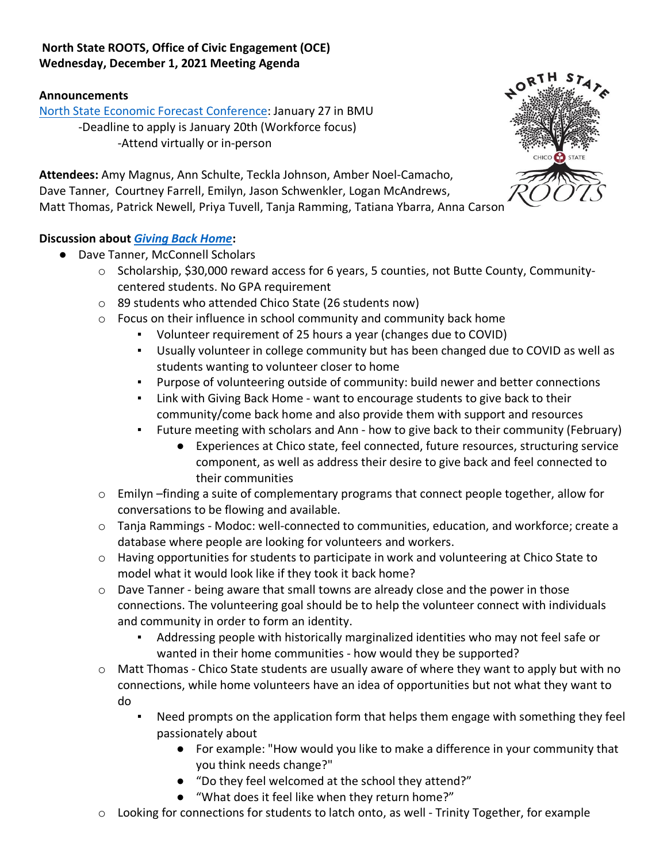# **North State ROOTS, Office of Civic Engagement (OCE) Wednesday, December 1, 2021 Meeting Agenda**

#### **Announcements**

[North State Economic Forecast Conference:](https://www.nspdc.csuchico.edu/#/ced/events/economicforecastconference) January 27 in BMU -Deadline to apply is January 20th (Workforce focus) -Attend virtually or in-person



**Attendees:** Amy Magnus, Ann Schulte, Teckla Johnson, Amber Noel-Camacho, Dave Tanner, Courtney Farrell, Emilyn, Jason Schwenkler, Logan McAndrews, Matt Thomas, Patrick Newell, Priya Tuvell, Tanja Ramming, Tatiana Ybarra, Anna Carson

# **Discussion about** *[Giving Back Home](https://docs.google.com/document/d/162dSGg2FsbtfDTWwQ8YOGrRvL3OlBYfAeS6iP8iIF8k/edit)***:**

- Dave Tanner, McConnell Scholars
	- o Scholarship, \$30,000 reward access for 6 years, 5 counties, not Butte County, Communitycentered students. No GPA requirement
	- o 89 students who attended Chico State (26 students now)
	- o Focus on their influence in school community and community back home
		- Volunteer requirement of 25 hours a year (changes due to COVID)
		- Usually volunteer in college community but has been changed due to COVID as well as students wanting to volunteer closer to home
		- Purpose of volunteering outside of community: build newer and better connections
		- Link with Giving Back Home want to encourage students to give back to their community/come back home and also provide them with support and resources
		- Future meeting with scholars and Ann how to give back to their community (February)
			- Experiences at Chico state, feel connected, future resources, structuring service component, as well as address their desire to give back and feel connected to their communities
	- $\circ$  Emilyn –finding a suite of complementary programs that connect people together, allow for conversations to be flowing and available.
	- o Tanja Rammings Modoc: well-connected to communities, education, and workforce; create a database where people are looking for volunteers and workers.
	- $\circ$  Having opportunities for students to participate in work and volunteering at Chico State to model what it would look like if they took it back home?
	- $\circ$  Dave Tanner being aware that small towns are already close and the power in those connections. The volunteering goal should be to help the volunteer connect with individuals and community in order to form an identity.
		- Addressing people with historically marginalized identities who may not feel safe or wanted in their home communities - how would they be supported?
	- $\circ$  Matt Thomas Chico State students are usually aware of where they want to apply but with no connections, while home volunteers have an idea of opportunities but not what they want to do
		- Need prompts on the application form that helps them engage with something they feel passionately about
			- For example: "How would you like to make a difference in your community that you think needs change?"
			- "Do they feel welcomed at the school they attend?"
			- "What does it feel like when they return home?"
	- $\circ$  Looking for connections for students to latch onto, as well Trinity Together, for example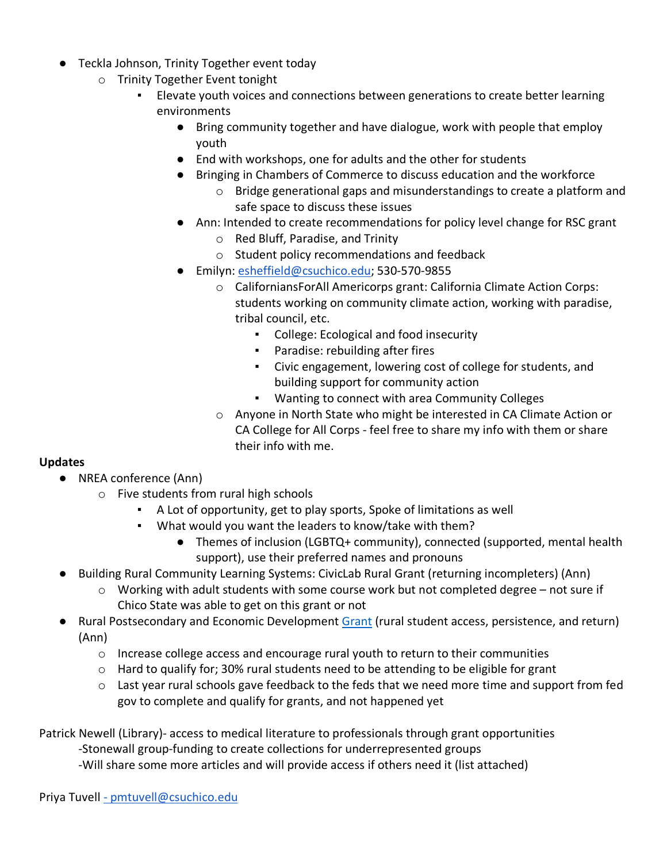- Teckla Johnson, Trinity Together event today
	- o Trinity Together Event tonight
		- Elevate youth voices and connections between generations to create better learning environments
			- Bring community together and have dialogue, work with people that employ youth
			- End with workshops, one for adults and the other for students
			- Bringing in Chambers of Commerce to discuss education and the workforce
				- o Bridge generational gaps and misunderstandings to create a platform and safe space to discuss these issues
			- Ann: Intended to create recommendations for policy level change for RSC grant
				- o Red Bluff, Paradise, and Trinity
				- o Student policy recommendations and feedback
			- Emilyn[: esheffield@csuchico.edu;](mailto:esheffield@csuchico.edu) 530-570-9855
				- o CaliforniansForAll Americorps grant: California Climate Action Corps: students working on community climate action, working with paradise, tribal council, etc.
					- College: Ecological and food insecurity
					- Paradise: rebuilding after fires
					- Civic engagement, lowering cost of college for students, and building support for community action
					- Wanting to connect with area Community Colleges
				- o Anyone in North State who might be interested in CA Climate Action or CA College for All Corps - feel free to share my info with them or share their info with me.

# **Updates**

- NREA conference (Ann)
	- o Five students from rural high schools
		- A Lot of opportunity, get to play sports, Spoke of limitations as well
		- What would you want the leaders to know/take with them?
			- Themes of inclusion (LGBTQ+ community), connected (supported, mental health support), use their preferred names and pronouns
- Building Rural Community Learning Systems: CivicLab Rural Grant (returning incompleters) (Ann)
	- $\circ$  Working with adult students with some course work but not completed degree not sure if Chico State was able to get on this grant or not
- Rural Postsecondary and Economic Development [Grant](https://www.govinfo.gov/content/pkg/FR-2021-11-19/pdf/2021-25332.pdf) (rural student access, persistence, and return) (Ann)
	- $\circ$  Increase college access and encourage rural youth to return to their communities
	- $\circ$  Hard to qualify for; 30% rural students need to be attending to be eligible for grant
	- $\circ$  Last year rural schools gave feedback to the feds that we need more time and support from fed gov to complete and qualify for grants, and not happened yet

Patrick Newell (Library)- access to medical literature to professionals through grant opportunities

-Stonewall group-funding to create collections for underrepresented groups

-Will share some more articles and will provide access if others need it (list attached)